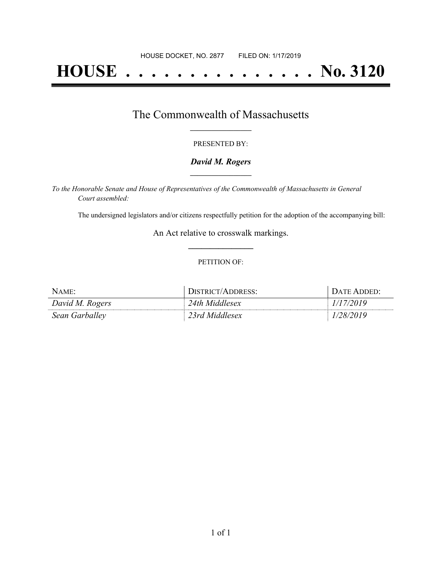# **HOUSE . . . . . . . . . . . . . . . No. 3120**

## The Commonwealth of Massachusetts **\_\_\_\_\_\_\_\_\_\_\_\_\_\_\_\_\_**

#### PRESENTED BY:

#### *David M. Rogers* **\_\_\_\_\_\_\_\_\_\_\_\_\_\_\_\_\_**

*To the Honorable Senate and House of Representatives of the Commonwealth of Massachusetts in General Court assembled:*

The undersigned legislators and/or citizens respectfully petition for the adoption of the accompanying bill:

An Act relative to crosswalk markings. **\_\_\_\_\_\_\_\_\_\_\_\_\_\_\_**

#### PETITION OF:

| NAME:           | DISTRICT/ADDRESS: | DATE ADDED: |
|-----------------|-------------------|-------------|
| David M. Rogers | 24th Middlesex    | (17/2019    |
| Sean Garballey  | 23rd Middlesex    | 1/28/2019   |